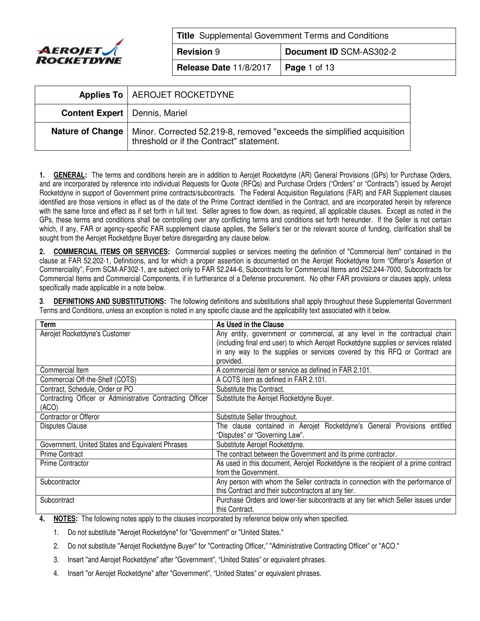

**Title** Supplemental Government Terms and Conditions **Revision** 9 **Document ID** SCM-AS302-2 **Release Date** 11/8/2017 **Page** 1 of 13

|                                        | Applies To   AEROJET ROCKETDYNE                                                                                    |
|----------------------------------------|--------------------------------------------------------------------------------------------------------------------|
| <b>Content Expert   Dennis, Mariel</b> |                                                                                                                    |
| Nature of Change                       | Minor. Corrected 52.219-8, removed "exceeds the simplified acquisition<br>threshold or if the Contract" statement. |

**1. GENERAL:** The terms and conditions herein are in addition to Aerojet Rocketdyne (AR) General Provisions (GPs) for Purchase Orders, and are incorporated by reference into individual Requests for Quote (RFQs) and Purchase Orders ("Orders" or "Contracts") issued by Aerojet Rocketdyne in support of Government prime contracts/subcontracts. The Federal Acquisition Regulations (FAR) and FAR Supplement clauses identified are those versions in effect as of the date of the Prime Contract identified in the Contract, and are incorporated herein by reference with the same force and effect as if set forth in full text. Seller agrees to flow down, as required, all applicable clauses. Except as noted in the GPs, these terms and conditions shall be controlling over any conflicting terms and conditions set forth hereunder. If the Seller is not certain which, if any, FAR or agency-specific FAR supplement clause applies, the Seller's tier or the relevant source of funding, clarification shall be sought from the Aerojet Rocketdyne Buyer before disregarding any clause below.

**2. COMMERCIAL ITEMS OR SERVICES:** Commercial supplies or services meeting the definition of "Commercial item" contained in the clause at FAR 52.202-1, Definitions, and for which a proper assertion is documented on the Aerojet Rocketdyne form "Offeror's Assertion of Commerciality", Form SCM-AF302-1, are subject only to FAR 52.244-6, Subcontracts for Commercial Items and 252.244-7000, Subcontracts for Commercial Items and Commercial Components, if in furtherance of a Defense procurement. No other FAR provisions or clauses apply, unless specifically made applicable in a note below.

**3**. **DEFINITIONS AND SUBSTITUTIONS:** The following definitions and substitutions shall apply throughout these Supplemental Government Terms and Conditions, unless an exception is noted in any specific clause and the applicability text associated with it below.

| <b>Term</b>                                                                                           | As Used in the Clause                                                               |  |
|-------------------------------------------------------------------------------------------------------|-------------------------------------------------------------------------------------|--|
| Aerojet Rocketdyne's Customer                                                                         | Any entity, government or commercial, at any level in the contractual chain         |  |
|                                                                                                       | (including final end user) to which Aerojet Rocketdyne supplies or services related |  |
|                                                                                                       | in any way to the supplies or services covered by this RFQ or Contract are          |  |
|                                                                                                       | provided.                                                                           |  |
| Commercial Item                                                                                       | A commercial item or service as defined in FAR 2.101.                               |  |
| Commercial Off-the-Shelf (COTS)                                                                       | A COTS item as defined in FAR 2.101.                                                |  |
| Contract, Schedule, Order or PO                                                                       | Substitute this Contract.                                                           |  |
| Contracting Officer or Administrative Contracting Officer<br>Substitute the Aerojet Rocketdyne Buyer. |                                                                                     |  |
| (ACO)                                                                                                 |                                                                                     |  |
| Contractor or Offeror                                                                                 | Substitute Seller throughout.                                                       |  |
| <b>Disputes Clause</b>                                                                                | The clause contained in Aerojet Rocketdyne's General Provisions entitled            |  |
|                                                                                                       | "Disputes" or "Governing Law".                                                      |  |
| Government, United States and Equivalent Phrases                                                      | Substitute Aerojet Rocketdyne.                                                      |  |
| <b>Prime Contract</b>                                                                                 | The contract between the Government and its prime contractor.                       |  |
| <b>Prime Contractor</b>                                                                               | As used in this document, Aerojet Rocketdyne is the recipient of a prime contract   |  |
|                                                                                                       | from the Government.                                                                |  |
| Any person with whom the Seller contracts in connection with the performance of<br>Subcontractor      |                                                                                     |  |
|                                                                                                       | this Contract and their subcontractors at any tier.                                 |  |
| Subcontract                                                                                           | Purchase Orders and lower-tier subcontracts at any tier which Seller issues under   |  |
|                                                                                                       | this Contract.                                                                      |  |

**4. NOTES:** The following notes apply to the clauses incorporated by reference below only when specified.

1. Do not substitute "Aerojet Rocketdyne" for "Government" or "United States."

- 2. Do not substitute "Aerojet Rocketdyne Buyer" for "Contracting Officer," "Administrative Contracting Officer" or "ACO."
- 3. Insert "and Aerojet Rocketdyne" after "Government", "United States" or equivalent phrases.
- 4. Insert "or Aerojet Rocketdyne" after "Government", "United States" or equivalent phrases.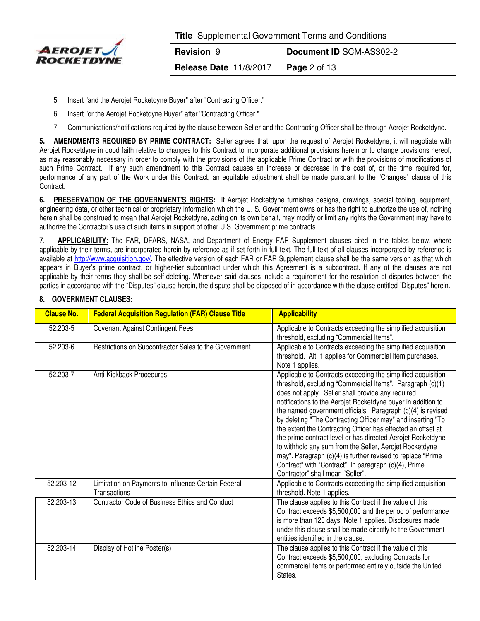

| <b>Title</b> Supplemental Government Terms and Conditions |                         |  |
|-----------------------------------------------------------|-------------------------|--|
| <b>Revision 9</b>                                         | Document ID SCM-AS302-2 |  |
| <b>Release Date 11/8/2017</b>                             | $\vert$ Page 2 of 13    |  |

- 5. Insert "and the Aerojet Rocketdyne Buyer" after "Contracting Officer."
- 6. Insert "or the Aerojet Rocketdyne Buyer" after "Contracting Officer."
- 7. Communications/notifications required by the clause between Seller and the Contracting Officer shall be through Aerojet Rocketdyne.

**5. AMENDMENTS REQUIRED BY PRIME CONTRACT:** Seller agrees that, upon the request of Aerojet Rocketdyne, it will negotiate with Aerojet Rocketdyne in good faith relative to changes to this Contract to incorporate additional provisions herein or to change provisions hereof, as may reasonably necessary in order to comply with the provisions of the applicable Prime Contract or with the provisions of modifications of such Prime Contract. If any such amendment to this Contract causes an increase or decrease in the cost of, or the time required for, performance of any part of the Work under this Contract, an equitable adjustment shall be made pursuant to the "Changes" clause of this Contract.

**6. PRESERVATION OF THE GOVERNMENT'S RIGHTS:** If Aerojet Rocketdyne furnishes designs, drawings, special tooling, equipment, engineering data, or other technical or proprietary information which the U. S. Government owns or has the right to authorize the use of, nothing herein shall be construed to mean that Aerojet Rocketdyne, acting on its own behalf, may modify or limit any rights the Government may have to authorize the Contractor's use of such items in support of other U.S. Government prime contracts.

**7**. **APPLICABILITY:** The FAR, DFARS, NASA, and Department of Energy FAR Supplement clauses cited in the tables below, where applicable by their terms, are incorporated herein by reference as if set forth in full text. The full text of all clauses incorporated by reference is available at [http://www.acquisition.gov](https://www.acquisition.gov/)/. The effective version of each FAR or FAR Supplement clause shall be the same version as that which appears in Buyer's prime contract, or higher-tier subcontract under which this Agreement is a subcontract. If any of the clauses are not applicable by their terms they shall be self-deleting. Whenever said clauses include a requirement for the resolution of disputes between the parties in accordance with the "Disputes" clause herein, the dispute shall be disposed of in accordance with the clause entitled "Disputes" herein.

| <b>Clause No.</b> | <b>Federal Acquisition Regulation (FAR) Clause Title</b>            | <b>Applicability</b>                                                                                                                                                                                                                                                                                                                                                                                                                                                                                                                                                                                                                                                                                                               |
|-------------------|---------------------------------------------------------------------|------------------------------------------------------------------------------------------------------------------------------------------------------------------------------------------------------------------------------------------------------------------------------------------------------------------------------------------------------------------------------------------------------------------------------------------------------------------------------------------------------------------------------------------------------------------------------------------------------------------------------------------------------------------------------------------------------------------------------------|
| 52.203-5          | <b>Covenant Against Contingent Fees</b>                             | Applicable to Contracts exceeding the simplified acquisition<br>threshold, excluding "Commercial Items".                                                                                                                                                                                                                                                                                                                                                                                                                                                                                                                                                                                                                           |
| 52.203-6          | Restrictions on Subcontractor Sales to the Government               | Applicable to Contracts exceeding the simplified acquisition<br>threshold. Alt. 1 applies for Commercial Item purchases.<br>Note 1 applies.                                                                                                                                                                                                                                                                                                                                                                                                                                                                                                                                                                                        |
| 52.203-7          | Anti-Kickback Procedures                                            | Applicable to Contracts exceeding the simplified acquisition<br>threshold, excluding "Commercial Items". Paragraph (c)(1)<br>does not apply. Seller shall provide any required<br>notifications to the Aerojet Rocketdyne buyer in addition to<br>the named government officials. Paragraph (c)(4) is revised<br>by deleting "The Contracting Officer may" and inserting "To<br>the extent the Contracting Officer has effected an offset at<br>the prime contract level or has directed Aerojet Rocketdyne<br>to withhold any sum from the Seller, Aerojet Rocketdyne<br>may". Paragraph (c)(4) is further revised to replace "Prime<br>Contract" with "Contract". In paragraph (c)(4), Prime<br>Contractor" shall mean "Seller". |
| 52.203-12         | Limitation on Payments to Influence Certain Federal<br>Transactions | Applicable to Contracts exceeding the simplified acquisition<br>threshold. Note 1 applies.                                                                                                                                                                                                                                                                                                                                                                                                                                                                                                                                                                                                                                         |
| 52.203-13         | Contractor Code of Business Ethics and Conduct                      | The clause applies to this Contract if the value of this<br>Contract exceeds \$5,500,000 and the period of performance<br>is more than 120 days. Note 1 applies. Disclosures made<br>under this clause shall be made directly to the Government<br>entities identified in the clause.                                                                                                                                                                                                                                                                                                                                                                                                                                              |
| 52.203-14         | Display of Hotline Poster(s)                                        | The clause applies to this Contract if the value of this<br>Contract exceeds \$5,500,000, excluding Contracts for<br>commercial items or performed entirely outside the United<br>States.                                                                                                                                                                                                                                                                                                                                                                                                                                                                                                                                          |

## **8. GOVERNMENT CLAUSES:**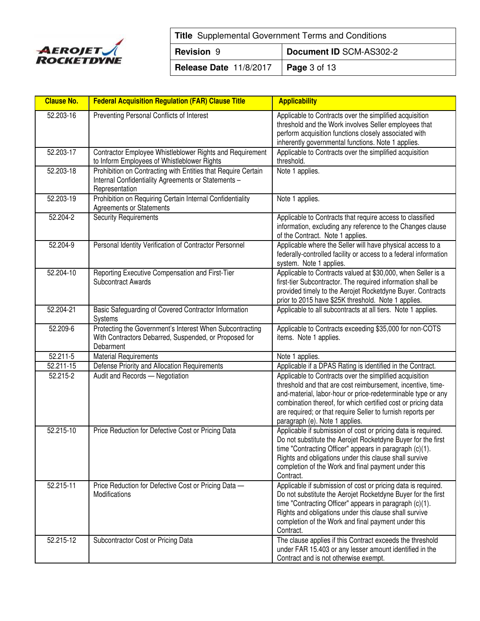

| <b>Title</b> Supplemental Government Terms and Conditions |  |  |  |
|-----------------------------------------------------------|--|--|--|
| Document ID SCM-AS302-2<br><b>Revision 9</b>              |  |  |  |
| <b>Release Date 11/8/2017   Page 3 of 13</b>              |  |  |  |

| <b>Clause No.</b> | <b>Federal Acquisition Regulation (FAR) Clause Title</b>                                                                               | <b>Applicability</b>                                                                                                                                                                                                                                                                                                                                     |
|-------------------|----------------------------------------------------------------------------------------------------------------------------------------|----------------------------------------------------------------------------------------------------------------------------------------------------------------------------------------------------------------------------------------------------------------------------------------------------------------------------------------------------------|
| 52.203-16         | Preventing Personal Conflicts of Interest                                                                                              | Applicable to Contracts over the simplified acquisition<br>threshold and the Work involves Seller employees that<br>perform acquisition functions closely associated with<br>inherently governmental functions. Note 1 applies.                                                                                                                          |
| 52.203-17         | Contractor Employee Whistleblower Rights and Requirement<br>to Inform Employees of Whistleblower Rights                                | Applicable to Contracts over the simplified acquisition<br>threshold.                                                                                                                                                                                                                                                                                    |
| 52.203-18         | Prohibition on Contracting with Entities that Require Certain<br>Internal Confidentiality Agreements or Statements -<br>Representation | Note 1 applies.                                                                                                                                                                                                                                                                                                                                          |
| 52.203-19         | Prohibition on Requiring Certain Internal Confidentiality<br><b>Agreements or Statements</b>                                           | Note 1 applies.                                                                                                                                                                                                                                                                                                                                          |
| 52.204-2          | <b>Security Requirements</b>                                                                                                           | Applicable to Contracts that require access to classified<br>information, excluding any reference to the Changes clause<br>of the Contract. Note 1 applies.                                                                                                                                                                                              |
| 52.204-9          | Personal Identity Verification of Contractor Personnel                                                                                 | Applicable where the Seller will have physical access to a<br>federally-controlled facility or access to a federal information<br>system. Note 1 applies.                                                                                                                                                                                                |
| 52.204-10         | Reporting Executive Compensation and First-Tier<br><b>Subcontract Awards</b>                                                           | Applicable to Contracts valued at \$30,000, when Seller is a<br>first-tier Subcontractor. The required information shall be<br>provided timely to the Aerojet Rocketdyne Buyer. Contracts<br>prior to 2015 have \$25K threshold. Note 1 applies.                                                                                                         |
| 52.204-21         | Basic Safeguarding of Covered Contractor Information<br>Systems                                                                        | Applicable to all subcontracts at all tiers. Note 1 applies.                                                                                                                                                                                                                                                                                             |
| 52.209-6          | Protecting the Government's Interest When Subcontracting<br>With Contractors Debarred, Suspended, or Proposed for<br>Debarment         | Applicable to Contracts exceeding \$35,000 for non-COTS<br>items. Note 1 applies.                                                                                                                                                                                                                                                                        |
| 52.211-5          | <b>Material Requirements</b>                                                                                                           | Note 1 applies.                                                                                                                                                                                                                                                                                                                                          |
| 52.211-15         | Defense Priority and Allocation Requirements                                                                                           | Applicable if a DPAS Rating is identified in the Contract.                                                                                                                                                                                                                                                                                               |
| 52.215-2          | Audit and Records - Negotiation                                                                                                        | Applicable to Contracts over the simplified acquisition<br>threshold and that are cost reimbursement, incentive, time-<br>and-material, labor-hour or price-redeterminable type or any<br>combination thereof, for which certified cost or pricing data<br>are required; or that require Seller to furnish reports per<br>paragraph (e). Note 1 applies. |
| 52.215-10         | Price Reduction for Defective Cost or Pricing Data                                                                                     | Applicable if submission of cost or pricing data is required.<br>Do not substitute the Aerojet Rocketdyne Buyer for the first<br>time "Contracting Officer" appears in paragraph $(c)(1)$ .<br>Rights and obligations under this clause shall survive<br>completion of the Work and final payment under this<br>Contract.                                |
| 52.215-11         | Price Reduction for Defective Cost or Pricing Data -<br><b>Modifications</b>                                                           | Applicable if submission of cost or pricing data is required.<br>Do not substitute the Aerojet Rocketdyne Buyer for the first<br>time "Contracting Officer" appears in paragraph (c)(1).<br>Rights and obligations under this clause shall survive<br>completion of the Work and final payment under this<br>Contract.                                   |
| 52.215-12         | Subcontractor Cost or Pricing Data                                                                                                     | The clause applies if this Contract exceeds the threshold<br>under FAR 15.403 or any lesser amount identified in the<br>Contract and is not otherwise exempt.                                                                                                                                                                                            |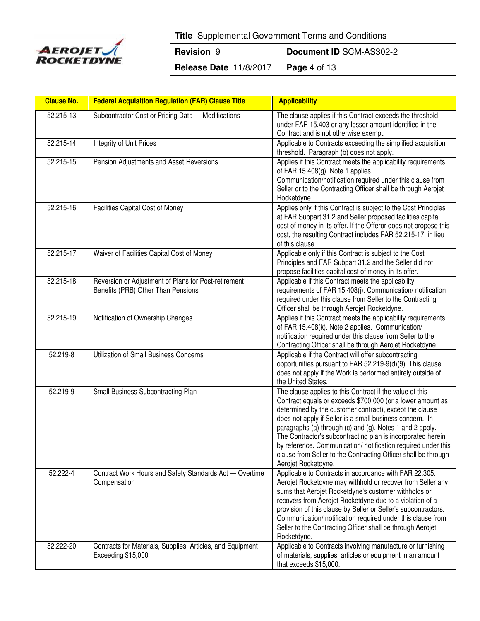

| <b>Title</b> Supplemental Government Terms and Conditions |                      |  |  |
|-----------------------------------------------------------|----------------------|--|--|
| Document ID SCM-AS302-2<br><b>Revision 9</b>              |                      |  |  |
| Release Date 11/8/2017                                    | $\vert$ Page 4 of 13 |  |  |

| <b>Clause No.</b> | <b>Federal Acquisition Regulation (FAR) Clause Title</b>                                   | <b>Applicability</b>                                                                                                                                                                                                                                                                                                                                                                                                                                                                                                               |
|-------------------|--------------------------------------------------------------------------------------------|------------------------------------------------------------------------------------------------------------------------------------------------------------------------------------------------------------------------------------------------------------------------------------------------------------------------------------------------------------------------------------------------------------------------------------------------------------------------------------------------------------------------------------|
| 52.215-13         | Subcontractor Cost or Pricing Data - Modifications                                         | The clause applies if this Contract exceeds the threshold<br>under FAR 15.403 or any lesser amount identified in the<br>Contract and is not otherwise exempt.                                                                                                                                                                                                                                                                                                                                                                      |
| 52.215-14         | Integrity of Unit Prices                                                                   | Applicable to Contracts exceeding the simplified acquisition<br>threshold. Paragraph (b) does not apply.                                                                                                                                                                                                                                                                                                                                                                                                                           |
| 52.215-15         | Pension Adjustments and Asset Reversions                                                   | Applies if this Contract meets the applicability requirements<br>of FAR 15.408(g). Note 1 applies.<br>Communication/notification required under this clause from<br>Seller or to the Contracting Officer shall be through Aerojet<br>Rocketdyne.                                                                                                                                                                                                                                                                                   |
| 52.215-16         | Facilities Capital Cost of Money                                                           | Applies only if this Contract is subject to the Cost Principles<br>at FAR Subpart 31.2 and Seller proposed facilities capital<br>cost of money in its offer. If the Offeror does not propose this<br>cost, the resulting Contract includes FAR 52.215-17, in lieu<br>of this clause.                                                                                                                                                                                                                                               |
| 52.215-17         | Waiver of Facilities Capital Cost of Money                                                 | Applicable only if this Contract is subject to the Cost<br>Principles and FAR Subpart 31.2 and the Seller did not<br>propose facilities capital cost of money in its offer.                                                                                                                                                                                                                                                                                                                                                        |
| 52.215-18         | Reversion or Adjustment of Plans for Post-retirement<br>Benefits (PRB) Other Than Pensions | Applicable if this Contract meets the applicability<br>requirements of FAR 15.408(j). Communication/ notification<br>required under this clause from Seller to the Contracting<br>Officer shall be through Aerojet Rocketdyne.                                                                                                                                                                                                                                                                                                     |
| 52.215-19         | Notification of Ownership Changes                                                          | Applies if this Contract meets the applicability requirements<br>of FAR 15.408(k). Note 2 applies. Communication/<br>notification required under this clause from Seller to the<br>Contracting Officer shall be through Aerojet Rocketdyne.                                                                                                                                                                                                                                                                                        |
| 52.219-8          | Utilization of Small Business Concerns                                                     | Applicable if the Contract will offer subcontracting<br>opportunities pursuant to FAR 52.219-9(d)(9). This clause<br>does not apply if the Work is performed entirely outside of<br>the United States.                                                                                                                                                                                                                                                                                                                             |
| 52.219-9          | Small Business Subcontracting Plan                                                         | The clause applies to this Contract if the value of this<br>Contract equals or exceeds \$700,000 (or a lower amount as<br>determined by the customer contract), except the clause<br>does not apply if Seller is a small business concern. In<br>paragraphs (a) through (c) and (g), Notes 1 and 2 apply.<br>The Contractor's subcontracting plan is incorporated herein<br>by reference. Communication/ notification required under this<br>clause from Seller to the Contracting Officer shall be through<br>Aerojet Rocketdyne. |
| 52.222-4          | Contract Work Hours and Safety Standards Act - Overtime<br>Compensation                    | Applicable to Contracts in accordance with FAR 22.305.<br>Aerojet Rocketdyne may withhold or recover from Seller any<br>sums that Aerojet Rocketdyne's customer withholds or<br>recovers from Aerojet Rocketdyne due to a violation of a<br>provision of this clause by Seller or Seller's subcontractors.<br>Communication/ notification required under this clause from<br>Seller to the Contracting Officer shall be through Aerojet<br>Rocketdyne.                                                                             |
| 52.222-20         | Contracts for Materials, Supplies, Articles, and Equipment<br>Exceeding \$15,000           | Applicable to Contracts involving manufacture or furnishing<br>of materials, supplies, articles or equipment in an amount<br>that exceeds \$15,000.                                                                                                                                                                                                                                                                                                                                                                                |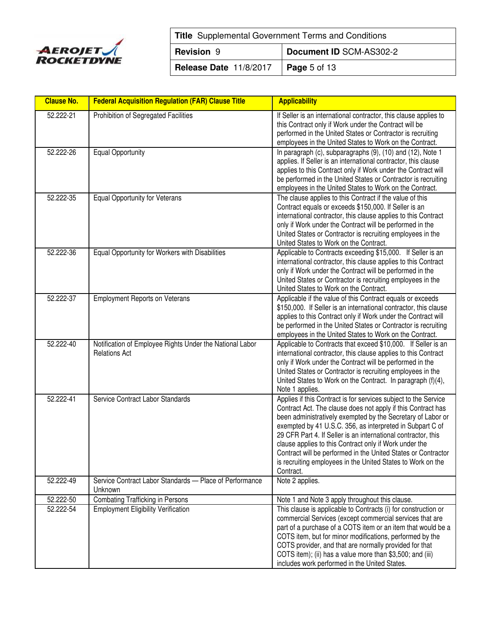

| <b>Title</b> Supplemental Government Terms and Conditions |                      |  |  |
|-----------------------------------------------------------|----------------------|--|--|
| Document ID SCM-AS302-2<br><b>Revision 9</b>              |                      |  |  |
| Release Date 11/8/2017                                    | $\vert$ Page 5 of 13 |  |  |

| <b>Clause No.</b> | <b>Federal Acquisition Regulation (FAR) Clause Title</b>                         | <b>Applicability</b>                                                                                                                                                                                                                                                                                                                                                                                                                                                                                                                |
|-------------------|----------------------------------------------------------------------------------|-------------------------------------------------------------------------------------------------------------------------------------------------------------------------------------------------------------------------------------------------------------------------------------------------------------------------------------------------------------------------------------------------------------------------------------------------------------------------------------------------------------------------------------|
| 52.222-21         | Prohibition of Segregated Facilities                                             | If Seller is an international contractor, this clause applies to<br>this Contract only if Work under the Contract will be<br>performed in the United States or Contractor is recruiting<br>employees in the United States to Work on the Contract.                                                                                                                                                                                                                                                                                  |
| 52.222-26         | <b>Equal Opportunity</b>                                                         | In paragraph (c), subparagraphs (9), (10) and (12), Note 1<br>applies. If Seller is an international contractor, this clause<br>applies to this Contract only if Work under the Contract will<br>be performed in the United States or Contractor is recruiting<br>employees in the United States to Work on the Contract.                                                                                                                                                                                                           |
| 52.222-35         | Equal Opportunity for Veterans                                                   | The clause applies to this Contract if the value of this<br>Contract equals or exceeds \$150,000. If Seller is an<br>international contractor, this clause applies to this Contract<br>only if Work under the Contract will be performed in the<br>United States or Contractor is recruiting employees in the<br>United States to Work on the Contract.                                                                                                                                                                             |
| 52.222-36         | Equal Opportunity for Workers with Disabilities                                  | Applicable to Contracts exceeding \$15,000. If Seller is an<br>international contractor, this clause applies to this Contract<br>only if Work under the Contract will be performed in the<br>United States or Contractor is recruiting employees in the<br>United States to Work on the Contract.                                                                                                                                                                                                                                   |
| 52.222-37         | <b>Employment Reports on Veterans</b>                                            | Applicable if the value of this Contract equals or exceeds<br>\$150,000. If Seller is an international contractor, this clause<br>applies to this Contract only if Work under the Contract will<br>be performed in the United States or Contractor is recruiting<br>employees in the United States to Work on the Contract.                                                                                                                                                                                                         |
| 52.222-40         | Notification of Employee Rights Under the National Labor<br><b>Relations Act</b> | Applicable to Contracts that exceed \$10,000. If Seller is an<br>international contractor, this clause applies to this Contract<br>only if Work under the Contract will be performed in the<br>United States or Contractor is recruiting employees in the<br>United States to Work on the Contract. In paragraph (f)(4),<br>Note 1 applies.                                                                                                                                                                                         |
| 52.222-41         | Service Contract Labor Standards                                                 | Applies if this Contract is for services subject to the Service<br>Contract Act. The clause does not apply if this Contract has<br>been administratively exempted by the Secretary of Labor or<br>exempted by 41 U.S.C. 356, as interpreted in Subpart C of<br>29 CFR Part 4. If Seller is an international contractor, this<br>clause applies to this Contract only if Work under the<br>Contract will be performed in the United States or Contractor<br>is recruiting employees in the United States to Work on the<br>Contract. |
| 52.222-49         | Service Contract Labor Standards - Place of Performance<br>Unknown               | Note 2 applies.                                                                                                                                                                                                                                                                                                                                                                                                                                                                                                                     |
| 52.222-50         | <b>Combating Trafficking in Persons</b>                                          | Note 1 and Note 3 apply throughout this clause.                                                                                                                                                                                                                                                                                                                                                                                                                                                                                     |
| 52.222-54         | <b>Employment Eligibility Verification</b>                                       | This clause is applicable to Contracts (i) for construction or<br>commercial Services (except commercial services that are<br>part of a purchase of a COTS item or an item that would be a<br>COTS item, but for minor modifications, performed by the<br>COTS provider, and that are normally provided for that<br>COTS item); (ii) has a value more than \$3,500; and (iii)<br>includes work performed in the United States.                                                                                                      |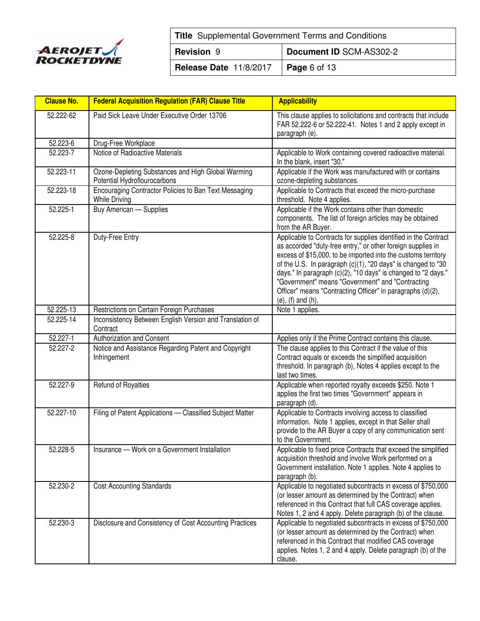

| <b>Title</b> Supplemental Government Terms and Conditions |                      |  |  |
|-----------------------------------------------------------|----------------------|--|--|
| Document ID SCM-AS302-2<br><b>Revision 9</b>              |                      |  |  |
| Release Date 11/8/2017                                    | $\vert$ Page 6 of 13 |  |  |

| <b>Clause No.</b> | <b>Federal Acquisition Regulation (FAR) Clause Title</b>                           | <b>Applicability</b>                                                                                                                                                                                                                                                                                                                                                                                                                                                            |
|-------------------|------------------------------------------------------------------------------------|---------------------------------------------------------------------------------------------------------------------------------------------------------------------------------------------------------------------------------------------------------------------------------------------------------------------------------------------------------------------------------------------------------------------------------------------------------------------------------|
| 52.222-62         | Paid Sick Leave Under Executive Order 13706                                        | This clause applies to solicitations and contracts that include<br>FAR 52.222-6 or 52.222-41. Notes 1 and 2 apply except in<br>paragraph (e).                                                                                                                                                                                                                                                                                                                                   |
| 52.223-6          | Drug-Free Workplace                                                                |                                                                                                                                                                                                                                                                                                                                                                                                                                                                                 |
| 52.223-7          | Notice of Radioactive Materials                                                    | Applicable to Work containing covered radioactive material.<br>In the blank, insert "30."                                                                                                                                                                                                                                                                                                                                                                                       |
| 52.223-11         | Ozone-Depleting Substances and High Global Warming<br>Potential Hydroflourocarbons | Applicable if the Work was manufactured with or contains<br>ozone-depleting substances.                                                                                                                                                                                                                                                                                                                                                                                         |
| 52.223-18         | Encouraging Contractor Policies to Ban Text Messaging<br><b>While Driving</b>      | Applicable to Contracts that exceed the micro-purchase<br>threshold. Note 4 applies.                                                                                                                                                                                                                                                                                                                                                                                            |
| 52.225-1          | <b>Buy American - Supplies</b>                                                     | Applicable if the Work contains other than domestic<br>components. The list of foreign articles may be obtained<br>from the AR Buyer.                                                                                                                                                                                                                                                                                                                                           |
| 52.225-8          | Duty-Free Entry                                                                    | Applicable to Contracts for supplies identified in the Contract<br>as accorded "duty-free entry," or other foreign supplies in<br>excess of \$15,000, to be imported into the customs territory<br>of the U.S. In paragraph (c)(1), "20 days" is changed to "30<br>days." In paragraph (c)(2), "10 days" is changed to "2 days."<br>"Government" means "Government" and "Contracting<br>Officer" means "Contracting Officer" in paragraphs (d)(2),<br>$(e)$ , $(f)$ and $(h)$ . |
| 52.225-13         | Restrictions on Certain Foreign Purchases                                          | Note 1 applies.                                                                                                                                                                                                                                                                                                                                                                                                                                                                 |
| 52.225-14         | Inconsistency Between English Version and Translation of<br>Contract               |                                                                                                                                                                                                                                                                                                                                                                                                                                                                                 |
| 52.227-1          | Authorization and Consent                                                          | Applies only if the Prime Contract contains this clause.                                                                                                                                                                                                                                                                                                                                                                                                                        |
| 52.227-2          | Notice and Assistance Regarding Patent and Copyright<br>Infringement               | The clause applies to this Contract if the value of this<br>Contract equals or exceeds the simplified acquisition<br>threshold. In paragraph (b), Notes 4 applies except to the<br>last two times.                                                                                                                                                                                                                                                                              |
| 52.227-9          | Refund of Royalties                                                                | Applicable when reported royalty exceeds \$250. Note 1<br>applies the first two times "Government" appears in<br>paragraph (d).                                                                                                                                                                                                                                                                                                                                                 |
| 52.227-10         | Filing of Patent Applications - Classified Subject Matter                          | Applicable to Contracts involving access to classified<br>information. Note 1 applies, except in that Seller shall<br>provide to the AR Buyer a copy of any communication sent<br>to the Government.                                                                                                                                                                                                                                                                            |
| 52.228-5          | Insurance — Work on a Government Installation                                      | Applicable to fixed price Contracts that exceed the simplified<br>acquisition threshold and involve Work performed on a<br>Government installation. Note 1 applies. Note 4 applies to<br>paragraph (b).                                                                                                                                                                                                                                                                         |
| 52.230-2          | <b>Cost Accounting Standards</b>                                                   | Applicable to negotiated subcontracts in excess of \$750,000<br>(or lesser amount as determined by the Contract) when<br>referenced in this Contract that full CAS coverage applies.<br>Notes 1, 2 and 4 apply. Delete paragraph (b) of the clause.                                                                                                                                                                                                                             |
| 52.230-3          | Disclosure and Consistency of Cost Accounting Practices                            | Applicable to negotiated subcontracts in excess of \$750,000<br>(or lesser amount as determined by the Contract) when<br>referenced in this Contract that modified CAS coverage<br>applies. Notes 1, 2 and 4 apply. Delete paragraph (b) of the<br>clause.                                                                                                                                                                                                                      |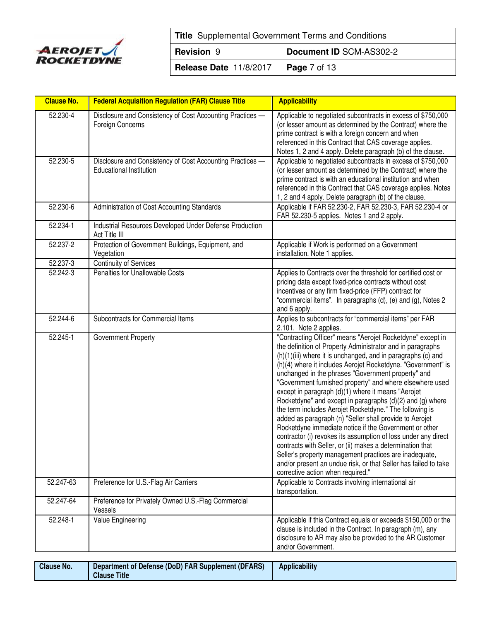

| <b>Title</b> Supplemental Government Terms and Conditions |                         |  |
|-----------------------------------------------------------|-------------------------|--|
| <b>Revision 9</b>                                         | Document ID SCM-AS302-2 |  |
| <b>Release Date 11/8/2017   Page 7 of 13</b>              |                         |  |

| <b>Clause No.</b>     | <b>Federal Acquisition Regulation (FAR) Clause Title</b>                                    | <b>Applicability</b>                                                                                                                                                                                                                                                                                                                                                                                                                                                                                                                                                                                                                                                                                                                                                                                                                                                                                                                                                           |
|-----------------------|---------------------------------------------------------------------------------------------|--------------------------------------------------------------------------------------------------------------------------------------------------------------------------------------------------------------------------------------------------------------------------------------------------------------------------------------------------------------------------------------------------------------------------------------------------------------------------------------------------------------------------------------------------------------------------------------------------------------------------------------------------------------------------------------------------------------------------------------------------------------------------------------------------------------------------------------------------------------------------------------------------------------------------------------------------------------------------------|
| 52.230-4              | Disclosure and Consistency of Cost Accounting Practices -<br>Foreign Concerns               | Applicable to negotiated subcontracts in excess of \$750,000<br>(or lesser amount as determined by the Contract) where the<br>prime contract is with a foreign concern and when<br>referenced in this Contract that CAS coverage applies.<br>Notes 1, 2 and 4 apply. Delete paragraph (b) of the clause.                                                                                                                                                                                                                                                                                                                                                                                                                                                                                                                                                                                                                                                                       |
| 52.230-5              | Disclosure and Consistency of Cost Accounting Practices -<br><b>Educational Institution</b> | Applicable to negotiated subcontracts in excess of \$750,000<br>(or lesser amount as determined by the Contract) where the<br>prime contract is with an educational institution and when<br>referenced in this Contract that CAS coverage applies. Notes<br>1, 2 and 4 apply. Delete paragraph (b) of the clause.                                                                                                                                                                                                                                                                                                                                                                                                                                                                                                                                                                                                                                                              |
| 52.230-6              | Administration of Cost Accounting Standards                                                 | Applicable if FAR 52.230-2, FAR 52.230-3, FAR 52.230-4 or<br>FAR 52.230-5 applies. Notes 1 and 2 apply.                                                                                                                                                                                                                                                                                                                                                                                                                                                                                                                                                                                                                                                                                                                                                                                                                                                                        |
| 52.234-1              | Industrial Resources Developed Under Defense Production<br>Act Title III                    |                                                                                                                                                                                                                                                                                                                                                                                                                                                                                                                                                                                                                                                                                                                                                                                                                                                                                                                                                                                |
| 52.237-2              | Protection of Government Buildings, Equipment, and<br>Vegetation                            | Applicable if Work is performed on a Government<br>installation. Note 1 applies.                                                                                                                                                                                                                                                                                                                                                                                                                                                                                                                                                                                                                                                                                                                                                                                                                                                                                               |
| 52.237-3              | <b>Continuity of Services</b>                                                               |                                                                                                                                                                                                                                                                                                                                                                                                                                                                                                                                                                                                                                                                                                                                                                                                                                                                                                                                                                                |
| 52.242-3              | Penalties for Unallowable Costs                                                             | Applies to Contracts over the threshold for certified cost or<br>pricing data except fixed-price contracts without cost<br>incentives or any firm fixed-price (FFP) contract for<br>"commercial items". In paragraphs (d), (e) and (g), Notes 2<br>and 6 apply.                                                                                                                                                                                                                                                                                                                                                                                                                                                                                                                                                                                                                                                                                                                |
| $\overline{52.2}44-6$ | Subcontracts for Commercial Items                                                           | Applies to subcontracts for "commercial items" per FAR<br>2.101. Note 2 applies.                                                                                                                                                                                                                                                                                                                                                                                                                                                                                                                                                                                                                                                                                                                                                                                                                                                                                               |
| 52.245-1              | Government Property                                                                         | "Contracting Officer" means "Aerojet Rocketdyne" except in<br>the definition of Property Administrator and in paragraphs<br>(h)(1)(iii) where it is unchanged, and in paragraphs (c) and<br>(h)(4) where it includes Aerojet Rocketdyne. "Government" is<br>unchanged in the phrases "Government property" and<br>"Government furnished property" and where elsewhere used<br>except in paragraph (d)(1) where it means "Aerojet<br>Rocketdyne" and except in paragraphs (d)(2) and (g) where<br>the term includes Aerojet Rocketdyne." The following is<br>added as paragraph (n) "Seller shall provide to Aerojet<br>Rocketdyne immediate notice if the Government or other<br>contractor (i) revokes its assumption of loss under any direct<br>contracts with Seller, or (ii) makes a determination that<br>Seller's property management practices are inadequate,<br>and/or present an undue risk, or that Seller has failed to take<br>corrective action when required." |
| 52.247-63             | Preference for U.S.-Flag Air Carriers                                                       | Applicable to Contracts involving international air<br>transportation.                                                                                                                                                                                                                                                                                                                                                                                                                                                                                                                                                                                                                                                                                                                                                                                                                                                                                                         |
| 52.247-64             | Preference for Privately Owned U.S.-Flag Commercial<br>Vessels                              |                                                                                                                                                                                                                                                                                                                                                                                                                                                                                                                                                                                                                                                                                                                                                                                                                                                                                                                                                                                |
| 52.248-1              | Value Engineering                                                                           | Applicable if this Contract equals or exceeds \$150,000 or the<br>clause is included in the Contract. In paragraph (m), any<br>disclosure to AR may also be provided to the AR Customer<br>and/or Government.                                                                                                                                                                                                                                                                                                                                                                                                                                                                                                                                                                                                                                                                                                                                                                  |

| <b>Clause No.</b> | Department of Defense (DoD) FAR Supplement (DFARS)<br><b>Clause</b><br><b>Title</b> | <b>Applicability</b> |
|-------------------|-------------------------------------------------------------------------------------|----------------------|
|-------------------|-------------------------------------------------------------------------------------|----------------------|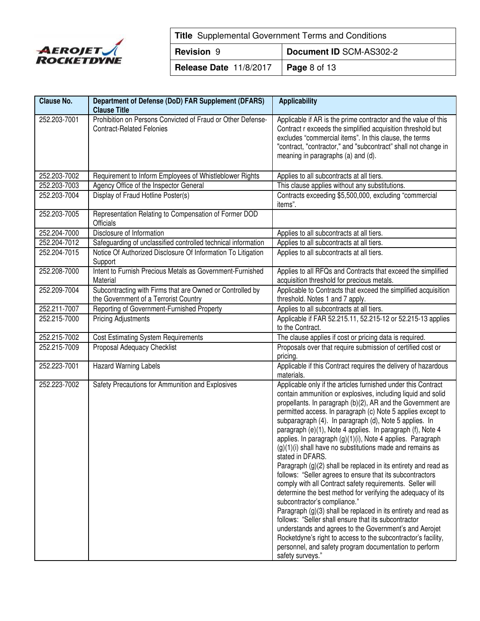

| <b>Title</b> Supplemental Government Terms and Conditions |                      |  |
|-----------------------------------------------------------|----------------------|--|
| Document ID SCM-AS302-2<br><b>Revision 9</b>              |                      |  |
| Release Date 11/8/2017                                    | $\vert$ Page 8 of 13 |  |

| <b>Clause No.</b> | Department of Defense (DoD) FAR Supplement (DFARS)<br><b>Clause Title</b>                          | <b>Applicability</b>                                                                                                                                                                                                                                                                                                                                                                                                                                                                                                                                                                                                                                                                                                                                                                                                                                                                                                                                                                                                                                                                                                                                             |
|-------------------|----------------------------------------------------------------------------------------------------|------------------------------------------------------------------------------------------------------------------------------------------------------------------------------------------------------------------------------------------------------------------------------------------------------------------------------------------------------------------------------------------------------------------------------------------------------------------------------------------------------------------------------------------------------------------------------------------------------------------------------------------------------------------------------------------------------------------------------------------------------------------------------------------------------------------------------------------------------------------------------------------------------------------------------------------------------------------------------------------------------------------------------------------------------------------------------------------------------------------------------------------------------------------|
| 252.203-7001      | Prohibition on Persons Convicted of Fraud or Other Defense-<br><b>Contract-Related Felonies</b>    | Applicable if AR is the prime contractor and the value of this<br>Contract r exceeds the simplified acquisition threshold but<br>excludes "commercial items". In this clause, the terms<br>"contract, "contractor," and "subcontract" shall not change in<br>meaning in paragraphs (a) and (d).                                                                                                                                                                                                                                                                                                                                                                                                                                                                                                                                                                                                                                                                                                                                                                                                                                                                  |
| 252.203-7002      | Requirement to Inform Employees of Whistleblower Rights                                            | Applies to all subcontracts at all tiers.                                                                                                                                                                                                                                                                                                                                                                                                                                                                                                                                                                                                                                                                                                                                                                                                                                                                                                                                                                                                                                                                                                                        |
| 252.203-7003      | Agency Office of the Inspector General                                                             | This clause applies without any substitutions.                                                                                                                                                                                                                                                                                                                                                                                                                                                                                                                                                                                                                                                                                                                                                                                                                                                                                                                                                                                                                                                                                                                   |
| 252.203-7004      | Display of Fraud Hotline Poster(s)                                                                 | Contracts exceeding \$5,500,000, excluding "commercial<br>items".                                                                                                                                                                                                                                                                                                                                                                                                                                                                                                                                                                                                                                                                                                                                                                                                                                                                                                                                                                                                                                                                                                |
| 252.203-7005      | Representation Relating to Compensation of Former DOD<br>Officials                                 |                                                                                                                                                                                                                                                                                                                                                                                                                                                                                                                                                                                                                                                                                                                                                                                                                                                                                                                                                                                                                                                                                                                                                                  |
| 252.204-7000      | Disclosure of Information                                                                          | Applies to all subcontracts at all tiers.                                                                                                                                                                                                                                                                                                                                                                                                                                                                                                                                                                                                                                                                                                                                                                                                                                                                                                                                                                                                                                                                                                                        |
| 252.204-7012      | Safeguarding of unclassified controlled technical information                                      | Applies to all subcontracts at all tiers.                                                                                                                                                                                                                                                                                                                                                                                                                                                                                                                                                                                                                                                                                                                                                                                                                                                                                                                                                                                                                                                                                                                        |
| 252.204-7015      | Notice Of Authorized Disclosure Of Information To Litigation<br>Support                            | Applies to all subcontracts at all tiers.                                                                                                                                                                                                                                                                                                                                                                                                                                                                                                                                                                                                                                                                                                                                                                                                                                                                                                                                                                                                                                                                                                                        |
| 252.208-7000      | Intent to Furnish Precious Metals as Government-Furnished<br>Material                              | Applies to all RFQs and Contracts that exceed the simplified<br>acquisition threshold for precious metals.                                                                                                                                                                                                                                                                                                                                                                                                                                                                                                                                                                                                                                                                                                                                                                                                                                                                                                                                                                                                                                                       |
| 252.209-7004      | Subcontracting with Firms that are Owned or Controlled by<br>the Government of a Terrorist Country | Applicable to Contracts that exceed the simplified acquisition<br>threshold. Notes 1 and 7 apply.                                                                                                                                                                                                                                                                                                                                                                                                                                                                                                                                                                                                                                                                                                                                                                                                                                                                                                                                                                                                                                                                |
| 252.211-7007      | Reporting of Government-Furnished Property                                                         | Applies to all subcontracts at all tiers.                                                                                                                                                                                                                                                                                                                                                                                                                                                                                                                                                                                                                                                                                                                                                                                                                                                                                                                                                                                                                                                                                                                        |
| 252.215-7000      | <b>Pricing Adjustments</b>                                                                         | Applicable if FAR 52.215.11, 52.215-12 or 52.215-13 applies<br>to the Contract.                                                                                                                                                                                                                                                                                                                                                                                                                                                                                                                                                                                                                                                                                                                                                                                                                                                                                                                                                                                                                                                                                  |
| 252.215-7002      | <b>Cost Estimating System Requirements</b>                                                         | The clause applies if cost or pricing data is required.                                                                                                                                                                                                                                                                                                                                                                                                                                                                                                                                                                                                                                                                                                                                                                                                                                                                                                                                                                                                                                                                                                          |
| 252.215-7009      | Proposal Adequacy Checklist                                                                        | Proposals over that require submission of certified cost or<br>pricing.                                                                                                                                                                                                                                                                                                                                                                                                                                                                                                                                                                                                                                                                                                                                                                                                                                                                                                                                                                                                                                                                                          |
| 252.223-7001      | Hazard Warning Labels                                                                              | Applicable if this Contract requires the delivery of hazardous<br>materials.                                                                                                                                                                                                                                                                                                                                                                                                                                                                                                                                                                                                                                                                                                                                                                                                                                                                                                                                                                                                                                                                                     |
| 252.223-7002      | Safety Precautions for Ammunition and Explosives                                                   | Applicable only if the articles furnished under this Contract<br>contain ammunition or explosives, including liquid and solid<br>propellants. In paragraph (b)(2), AR and the Government are<br>permitted access. In paragraph (c) Note 5 applies except to<br>subparagraph (4). In paragraph (d), Note 5 applies. In<br>paragraph (e)(1), Note 4 applies. In paragraph (f), Note 4<br>applies. In paragraph (g)(1)(i), Note 4 applies. Paragraph<br>(g)(1)(i) shall have no substitutions made and remains as<br>stated in DFARS.<br>Paragraph (g)(2) shall be replaced in its entirety and read as<br>follows: "Seller agrees to ensure that its subcontractors<br>comply with all Contract safety requirements. Seller will<br>determine the best method for verifying the adequacy of its<br>subcontractor's compliance."<br>Paragraph (g)(3) shall be replaced in its entirety and read as<br>follows: "Seller shall ensure that its subcontractor<br>understands and agrees to the Government's and Aerojet<br>Rocketdyne's right to access to the subcontractor's facility,<br>personnel, and safety program documentation to perform<br>safety surveys." |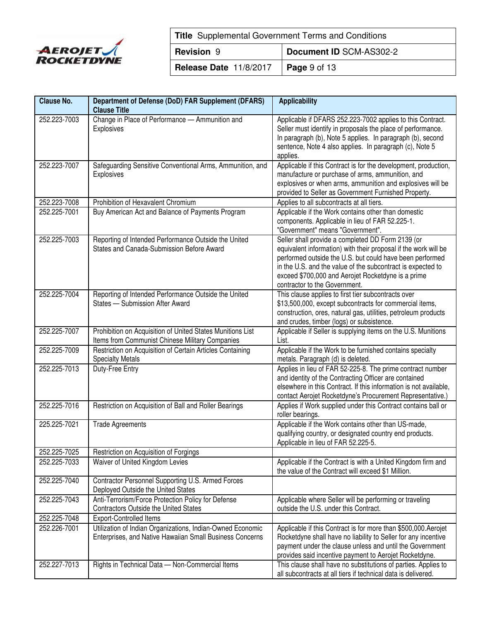

| <b>Title</b> Supplemental Government Terms and Conditions |                      |  |
|-----------------------------------------------------------|----------------------|--|
| Document ID SCM-AS302-2<br><b>Revision 9</b>              |                      |  |
| Release Date 11/8/2017                                    | $\vert$ Page 9 of 13 |  |

| <b>Clause No.</b> | Department of Defense (DoD) FAR Supplement (DFARS)<br><b>Clause Title</b> | <b>Applicability</b>                                                                                              |
|-------------------|---------------------------------------------------------------------------|-------------------------------------------------------------------------------------------------------------------|
| 252.223-7003      | Change in Place of Performance - Ammunition and                           | Applicable if DFARS 252.223-7002 applies to this Contract.                                                        |
|                   | Explosives                                                                | Seller must identify in proposals the place of performance.                                                       |
|                   |                                                                           | In paragraph (b), Note 5 applies. In paragraph (b), second                                                        |
|                   |                                                                           | sentence, Note 4 also applies. In paragraph (c), Note 5                                                           |
|                   |                                                                           | applies.                                                                                                          |
| 252.223-7007      | Safeguarding Sensitive Conventional Arms, Ammunition, and                 | Applicable if this Contract is for the development, production,                                                   |
|                   | Explosives                                                                | manufacture or purchase of arms, ammunition, and                                                                  |
|                   |                                                                           | explosives or when arms, ammunition and explosives will be                                                        |
|                   |                                                                           | provided to Seller as Government Furnished Property.                                                              |
| 252.223-7008      | Prohibition of Hexavalent Chromium                                        | Applies to all subcontracts at all tiers.                                                                         |
| 252.225-7001      | Buy American Act and Balance of Payments Program                          | Applicable if the Work contains other than domestic                                                               |
|                   |                                                                           | components. Applicable in lieu of FAR 52.225-1.                                                                   |
|                   |                                                                           | "Government" means "Government".                                                                                  |
| 252.225-7003      | Reporting of Intended Performance Outside the United                      | Seller shall provide a completed DD Form 2139 (or                                                                 |
|                   | States and Canada-Submission Before Award                                 | equivalent information) with their proposal if the work will be                                                   |
|                   |                                                                           | performed outside the U.S. but could have been performed                                                          |
|                   |                                                                           | in the U.S. and the value of the subcontract is expected to<br>exceed \$700,000 and Aerojet Rocketdyne is a prime |
|                   |                                                                           | contractor to the Government.                                                                                     |
| 252.225-7004      | Reporting of Intended Performance Outside the United                      | This clause applies to first tier subcontracts over                                                               |
|                   | States - Submission After Award                                           | \$13,500,000, except subcontracts for commercial items,                                                           |
|                   |                                                                           | construction, ores, natural gas, utilities, petroleum products                                                    |
|                   |                                                                           | and crudes, timber (logs) or subsistence.                                                                         |
| 252.225-7007      | Prohibition on Acquisition of United States Munitions List                | Applicable if Seller is supplying items on the U.S. Munitions                                                     |
|                   | Items from Communist Chinese Military Companies                           | List.                                                                                                             |
| 252.225-7009      | Restriction on Acquisition of Certain Articles Containing                 | Applicable if the Work to be furnished contains specialty                                                         |
|                   | <b>Specialty Metals</b>                                                   | metals. Paragraph (d) is deleted.                                                                                 |
| 252.225-7013      | Duty-Free Entry                                                           | Applies in lieu of FAR 52-225-8. The prime contract number                                                        |
|                   |                                                                           | and identity of the Contracting Officer are contained                                                             |
|                   |                                                                           | elsewhere in this Contract. If this information is not available,                                                 |
|                   |                                                                           | contact Aerojet Rocketdyne's Procurement Representative.)                                                         |
| 252.225-7016      | Restriction on Acquisition of Ball and Roller Bearings                    | Applies if Work supplied under this Contract contains ball or                                                     |
|                   |                                                                           | roller bearings.                                                                                                  |
| 225.225-7021      | <b>Trade Agreements</b>                                                   | Applicable if the Work contains other than US-made,                                                               |
|                   |                                                                           | qualifying country, or designated country end products.<br>Applicable in lieu of FAR 52.225-5.                    |
| 252.225-7025      | Restriction on Acquisition of Forgings                                    |                                                                                                                   |
| 252.225-7033      | Waiver of United Kingdom Levies                                           | Applicable if the Contract is with a United Kingdom firm and                                                      |
|                   |                                                                           | the value of the Contract will exceed \$1 Million.                                                                |
| 252.225-7040      | Contractor Personnel Supporting U.S. Armed Forces                         |                                                                                                                   |
|                   | Deployed Outside the United States                                        |                                                                                                                   |
| 252.225-7043      | Anti-Terrorism/Force Protection Policy for Defense                        | Applicable where Seller will be performing or traveling                                                           |
|                   | <b>Contractors Outside the United States</b>                              | outside the U.S. under this Contract.                                                                             |
| 252.225-7048      | Export-Controlled Items                                                   |                                                                                                                   |
| 252.226-7001      | Utilization of Indian Organizations, Indian-Owned Economic                | Applicable if this Contract is for more than \$500,000. Aerojet                                                   |
|                   | Enterprises, and Native Hawaiian Small Business Concerns                  | Rocketdyne shall have no liability to Seller for any incentive                                                    |
|                   |                                                                           | payment under the clause unless and until the Government                                                          |
|                   |                                                                           | provides said incentive payment to Aerojet Rocketdyne.                                                            |
| 252.227-7013      | Rights in Technical Data - Non-Commercial Items                           | This clause shall have no substitutions of parties. Applies to                                                    |
|                   |                                                                           | all subcontracts at all tiers if technical data is delivered.                                                     |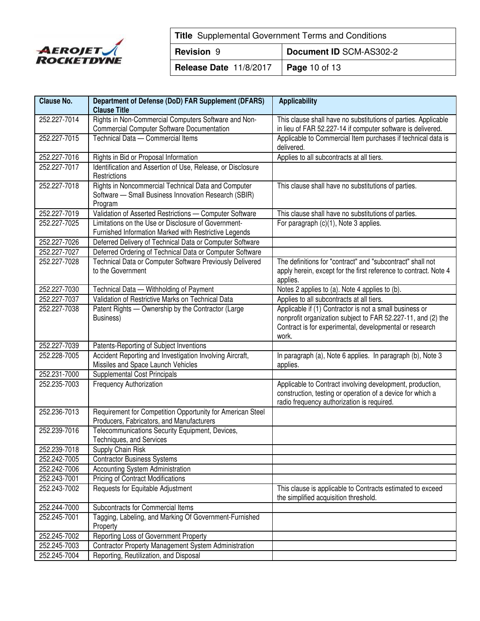

| <b>Title</b> Supplemental Government Terms and Conditions |  |  |
|-----------------------------------------------------------|--|--|
| Document ID SCM-AS302-2<br><b>Revision 9</b>              |  |  |
| <b>Release Date 11/8/2017   Page 10 of 13</b>             |  |  |

| <b>Clause No.</b> | Department of Defense (DoD) FAR Supplement (DFARS)<br><b>Clause Title</b>                                              | <b>Applicability</b>                                                                                                                                                                        |
|-------------------|------------------------------------------------------------------------------------------------------------------------|---------------------------------------------------------------------------------------------------------------------------------------------------------------------------------------------|
| 252.227-7014      | Rights in Non-Commercial Computers Software and Non-<br><b>Commercial Computer Software Documentation</b>              | This clause shall have no substitutions of parties. Applicable<br>in lieu of FAR 52.227-14 if computer software is delivered.                                                               |
| 252.227-7015      | Technical Data - Commercial Items                                                                                      | Applicable to Commercial Item purchases if technical data is<br>delivered.                                                                                                                  |
| 252.227-7016      | Rights in Bid or Proposal Information                                                                                  | Applies to all subcontracts at all tiers.                                                                                                                                                   |
| 252.227-7017      | Identification and Assertion of Use, Release, or Disclosure<br>Restrictions                                            |                                                                                                                                                                                             |
| 252.227-7018      | Rights in Noncommercial Technical Data and Computer<br>Software - Small Business Innovation Research (SBIR)<br>Program | This clause shall have no substitutions of parties.                                                                                                                                         |
| 252.227-7019      | Validation of Asserted Restrictions - Computer Software                                                                | This clause shall have no substitutions of parties.                                                                                                                                         |
| 252.227-7025      | Limitations on the Use or Disclosure of Government-<br>Furnished Information Marked with Restrictive Legends           | For paragraph (c)(1), Note 3 applies.                                                                                                                                                       |
| 252.227-7026      | Deferred Delivery of Technical Data or Computer Software                                                               |                                                                                                                                                                                             |
| 252.227-7027      | Deferred Ordering of Technical Data or Computer Software                                                               |                                                                                                                                                                                             |
| 252.227-7028      | Technical Data or Computer Software Previously Delivered<br>to the Government                                          | The definitions for "contract" and "subcontract" shall not<br>apply herein, except for the first reference to contract. Note 4<br>applies.                                                  |
| 252.227-7030      | Technical Data - Withholding of Payment                                                                                | Notes 2 applies to (a). Note 4 applies to (b).                                                                                                                                              |
| 252.227-7037      | Validation of Restrictive Marks on Technical Data                                                                      | Applies to all subcontracts at all tiers.                                                                                                                                                   |
| 252.227-7038      | Patent Rights - Ownership by the Contractor (Large<br>Business)                                                        | Applicable if (1) Contractor is not a small business or<br>nonprofit organization subject to FAR 52.227-11, and (2) the<br>Contract is for experimental, developmental or research<br>work. |
| 252.227-7039      | Patents-Reporting of Subject Inventions                                                                                |                                                                                                                                                                                             |
| 252.228-7005      | Accident Reporting and Investigation Involving Aircraft,<br>Missiles and Space Launch Vehicles                         | In paragraph (a), Note 6 applies. In paragraph (b), Note 3<br>applies.                                                                                                                      |
| 252.231-7000      | <b>Supplemental Cost Principals</b>                                                                                    |                                                                                                                                                                                             |
| 252.235-7003      | <b>Frequency Authorization</b>                                                                                         | Applicable to Contract involving development, production,<br>construction, testing or operation of a device for which a<br>radio frequency authorization is required.                       |
| 252.236-7013      | Requirement for Competition Opportunity for American Steel<br>Producers, Fabricators, and Manufacturers                |                                                                                                                                                                                             |
| 252.239-7016      | Telecommunications Security Equipment, Devices,<br>Techniques, and Services                                            |                                                                                                                                                                                             |
| 252.239-7018      | Supply Chain Risk                                                                                                      |                                                                                                                                                                                             |
| 252.242-7005      | Contractor Business Systems                                                                                            |                                                                                                                                                                                             |
| 252.242-7006      | Accounting System Administration                                                                                       |                                                                                                                                                                                             |
| 252.243-7001      | <b>Pricing of Contract Modifications</b>                                                                               |                                                                                                                                                                                             |
| 252.243-7002      | Requests for Equitable Adjustment                                                                                      | This clause is applicable to Contracts estimated to exceed<br>the simplified acquisition threshold.                                                                                         |
| 252.244-7000      | Subcontracts for Commercial Items                                                                                      |                                                                                                                                                                                             |
| 252.245-7001      | Tagging, Labeling, and Marking Of Government-Furnished<br>Property                                                     |                                                                                                                                                                                             |
| 252.245-7002      | Reporting Loss of Government Property                                                                                  |                                                                                                                                                                                             |
| 252.245-7003      | Contractor Property Management System Administration                                                                   |                                                                                                                                                                                             |
| 252.245-7004      | Reporting, Reutilization, and Disposal                                                                                 |                                                                                                                                                                                             |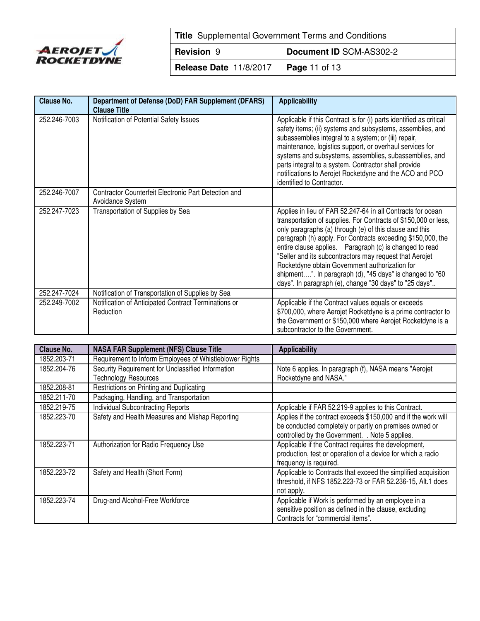

| <b>Title</b> Supplemental Government Terms and Conditions |                      |  |
|-----------------------------------------------------------|----------------------|--|
| Document ID SCM-AS302-2<br><b>Revision 9</b>              |                      |  |
| Release Date 11/8/2017                                    | <b>Page 11 of 13</b> |  |

| <b>Clause No.</b> | Department of Defense (DoD) FAR Supplement (DFARS)<br><b>Clause Title</b> | <b>Applicability</b>                                                                                                                                                                                                                                                                                                                                                                                                                                                                                                                                   |
|-------------------|---------------------------------------------------------------------------|--------------------------------------------------------------------------------------------------------------------------------------------------------------------------------------------------------------------------------------------------------------------------------------------------------------------------------------------------------------------------------------------------------------------------------------------------------------------------------------------------------------------------------------------------------|
| 252.246-7003      | Notification of Potential Safety Issues                                   | Applicable if this Contract is for (i) parts identified as critical<br>safety items; (ii) systems and subsystems, assemblies, and<br>subassemblies integral to a system; or (iii) repair,<br>maintenance, logistics support, or overhaul services for<br>systems and subsystems, assemblies, subassemblies, and<br>parts integral to a system. Contractor shall provide<br>notifications to Aerojet Rocketdyne and the ACO and PCO<br>identified to Contractor.                                                                                        |
| 252.246-7007      | Contractor Counterfeit Electronic Part Detection and<br>Avoidance System  |                                                                                                                                                                                                                                                                                                                                                                                                                                                                                                                                                        |
| 252.247-7023      | Transportation of Supplies by Sea                                         | Applies in lieu of FAR 52.247-64 in all Contracts for ocean<br>transportation of supplies. For Contracts of \$150,000 or less,<br>only paragraphs (a) through (e) of this clause and this<br>paragraph (h) apply. For Contracts exceeding \$150,000, the<br>entire clause applies. Paragraph (c) is changed to read<br>"Seller and its subcontractors may request that Aerojet<br>Rocketdyne obtain Government authorization for<br>shipment". In paragraph (d), "45 days" is changed to "60<br>days". In paragraph (e), change "30 days" to "25 days" |
| 252.247-7024      | Notification of Transportation of Supplies by Sea                         |                                                                                                                                                                                                                                                                                                                                                                                                                                                                                                                                                        |
| 252.249-7002      | Notification of Anticipated Contract Terminations or<br>Reduction         | Applicable if the Contract values equals or exceeds<br>\$700,000, where Aerojet Rocketdyne is a prime contractor to<br>the Government or \$150,000 where Aerojet Rocketdyne is a<br>subcontractor to the Government.                                                                                                                                                                                                                                                                                                                                   |

| Clause No.  | <b>NASA FAR Supplement (NFS) Clause Title</b>                             | <b>Applicability</b>                                                                                                                                                        |
|-------------|---------------------------------------------------------------------------|-----------------------------------------------------------------------------------------------------------------------------------------------------------------------------|
| 1852.203-71 | Requirement to Inform Employees of Whistleblower Rights                   |                                                                                                                                                                             |
| 1852.204-76 | Security Requirement for Unclassified Information<br>Technology Resources | Note 6 applies. In paragraph (f), NASA means "Aerojet<br>Rocketdyne and NASA."                                                                                              |
| 1852.208-81 | Restrictions on Printing and Duplicating                                  |                                                                                                                                                                             |
| 1852.211-70 | Packaging, Handling, and Transportation                                   |                                                                                                                                                                             |
| 1852.219-75 | <b>Individual Subcontracting Reports</b>                                  | Applicable if FAR 52.219-9 applies to this Contract.                                                                                                                        |
| 1852.223-70 | Safety and Health Measures and Mishap Reporting                           | Applies if the contract exceeds \$150,000 and if the work will<br>be conducted completely or partly on premises owned or<br>controlled by the Government. . Note 5 applies. |
| 1852.223-71 | Authorization for Radio Frequency Use                                     | Applicable if the Contract requires the development,<br>production, test or operation of a device for which a radio<br>frequency is required.                               |
| 1852.223-72 | Safety and Health (Short Form)                                            | Applicable to Contracts that exceed the simplified acquisition<br>threshold, if NFS 1852.223-73 or FAR 52.236-15, Alt.1 does<br>not apply.                                  |
| 1852.223-74 | Drug-and Alcohol-Free Workforce                                           | Applicable if Work is performed by an employee in a<br>sensitive position as defined in the clause, excluding<br>Contracts for "commercial items".                          |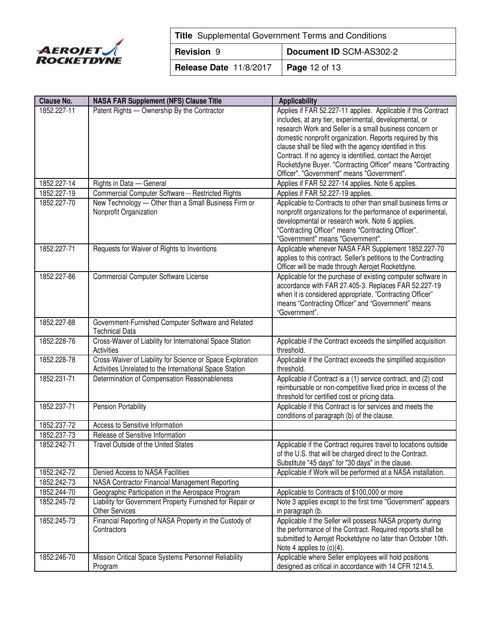

| <b>Title</b> Supplemental Government Terms and Conditions |                         |  |  |  |
|-----------------------------------------------------------|-------------------------|--|--|--|
| <b>Revision 9</b>                                         | Document ID SCM-AS302-2 |  |  |  |
| Release Date 11/8/2017                                    | <b>Page</b> 12 of 13    |  |  |  |

| <b>Clause No.</b> | <b>NASA FAR Supplement (NFS) Clause Title</b>                                      | <b>Applicability</b>                                                             |
|-------------------|------------------------------------------------------------------------------------|----------------------------------------------------------------------------------|
| 1852.227-11       | Patent Rights - Ownership By the Contractor                                        | Applies if FAR 52.227-11 applies. Applicable if this Contract                    |
|                   |                                                                                    | includes, at any tier, experimental, developmental, or                           |
|                   |                                                                                    | research Work and Seller is a small business concern or                          |
|                   |                                                                                    | domestic nonprofit organization. Reports required by this                        |
|                   |                                                                                    | clause shall be filed with the agency identified in this                         |
|                   |                                                                                    | Contract. If no agency is identified, contact the Aerojet                        |
|                   |                                                                                    | Rocketdyne Buyer. "Contracting Officer" means "Contracting                       |
|                   |                                                                                    | Officer". "Government" means "Government".                                       |
| 1852.227-14       | Rights in Data - General                                                           | Applies if FAR 52.227-14 applies. Note 6 applies.                                |
| 1852.227-19       | Commercial Computer Software -- Restricted Rights                                  | Applies if FAR 52.227-19 applies.                                                |
| 1852.227-70       | New Technology - Other than a Small Business Firm or                               | Applicable to Contracts to other than small business firms or                    |
|                   | Nonprofit Organization                                                             | nonprofit organizations for the performance of experimental,                     |
|                   |                                                                                    | developmental or research work. Note 6 applies.                                  |
|                   |                                                                                    | "Contracting Officer" means "Contracting Officer".                               |
|                   |                                                                                    | "Government" means "Government".                                                 |
| 1852.227-71       | Requests for Waiver of Rights to Inventions                                        | Applicable whenever NASA FAR Supplement 1852.227-70                              |
|                   |                                                                                    | applies to this contract. Seller's petitions to the Contracting                  |
|                   |                                                                                    | Officer will be made through Aerojet Rocketdyne.                                 |
| 1852.227-86       | Commercial Computer Software License                                               | Applicable for the purchase of existing computer software in                     |
|                   |                                                                                    | accordance with FAR 27.405-3. Replaces FAR 52.227-19                             |
|                   |                                                                                    | when it is considered appropriate. "Contracting Officer"                         |
|                   |                                                                                    | means "Contracting Officer" and "Government" means                               |
|                   |                                                                                    | "Government".                                                                    |
| 1852.227-88       | Government-Furnished Computer Software and Related<br><b>Technical Data</b>        |                                                                                  |
| 1852.228-76       | Cross-Waiver of Liability for International Space Station                          | Applicable if the Contract exceeds the simplified acquisition                    |
|                   | Activities                                                                         | threshold.                                                                       |
| 1852.228-78       | Cross-Waiver of Liability for Science or Space Exploration                         | Applicable if the Contract exceeds the simplified acquisition                    |
|                   | Activities Unrelated to the International Space Station                            | threshold.                                                                       |
| 1852.231-71       | Determination of Compensation Reasonableness                                       | Applicable if Contract is a (1) service contract, and (2) cost                   |
|                   |                                                                                    | reimbursable or non-competitive fixed price in excess of the                     |
|                   |                                                                                    | threshold for certified cost or pricing data.                                    |
| 1852.237-71       | <b>Pension Portability</b>                                                         | Applicable if this Contract is for services and meets the                        |
|                   |                                                                                    | conditions of paragraph (b) of the clause.                                       |
| 1852.237-72       | Access to Sensitive Information                                                    |                                                                                  |
| 1852.237-73       | Release of Sensitive Information                                                   |                                                                                  |
| 1852.242-71       | Travel Outside of the United States                                                | Applicable if the Contract requires travel to locations outside                  |
|                   |                                                                                    | of the U.S. that will be charged direct to the Contract.                         |
|                   |                                                                                    | Substitute "45 days" for "30 days" in the clause.                                |
| 1852.242-72       | Denied Access to NASA Facilities                                                   | Applicable if Work will be performed at a NASA installation.                     |
| 1852.242-73       | NASA Contractor Financial Management Reporting                                     |                                                                                  |
| 1852.244-70       | Geographic Participation in the Aerospace Program                                  | Applicable to Contracts of \$100,000 or more                                     |
| 1852.245-72       | Liability for Government Property Furnished for Repair or<br><b>Other Services</b> | Note 3 applies except to the first time "Government" appears<br>in paragraph (b. |
| 1852.245-73       | Financial Reporting of NASA Property in the Custody of                             | Applicable if the Seller will possess NASA property during                       |
|                   | Contractors                                                                        | the performance of the Contract. Required reports shall be                       |
|                   |                                                                                    | submitted to Aerojet Rocketdyne no later than October 10th.                      |
|                   |                                                                                    | Note 4 applies to $(c)(4)$ .                                                     |
| 1852.246-70       | Mission Critical Space Systems Personnel Reliability                               | Applicable where Seller employees will hold positions                            |
|                   | Program                                                                            | designed as critical in accordance with 14 CFR 1214.5.                           |